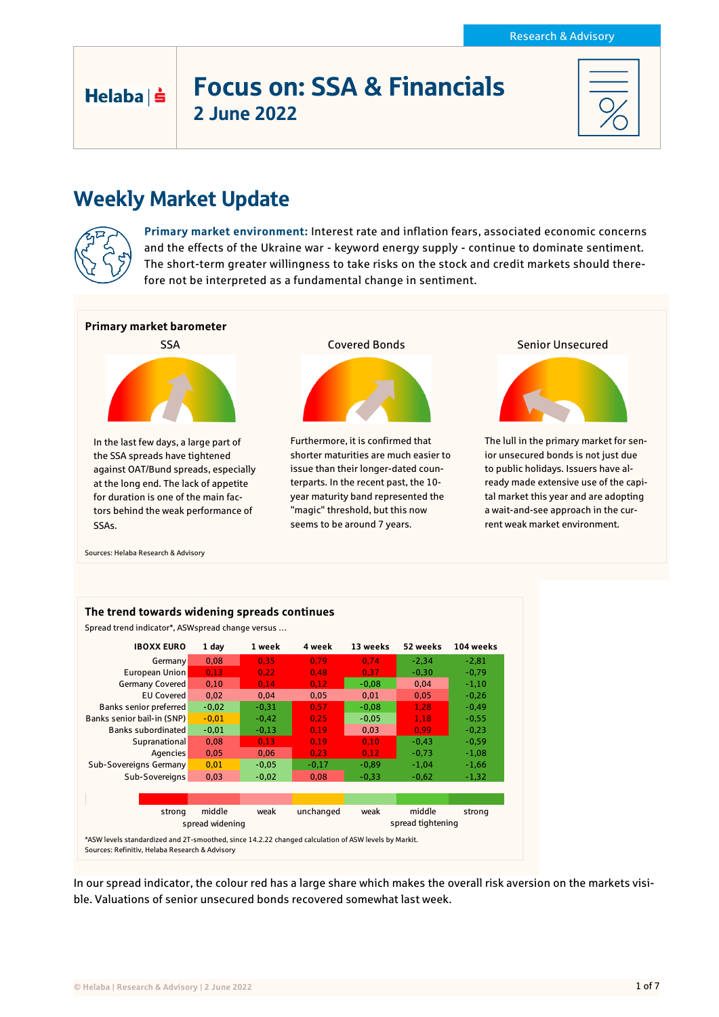# Focus on: SSA & Financials 2 June 2022

# Weekly Market Update



Helaba | s

**Primary market environment:** Interest rate and inflation fears, associated economic concerns and the effects of the Ukraine war - keyword energy supply - continue to dominate sentiment. The short-term greater willingness to take risks on the stock and credit markets should therefore not be interpreted as a fundamental change in sentiment.



Sources: Helaba Research & Advisory



In our spread indicator, the colour red has a large share which makes the overall risk aversion on the markets visible. Valuations of senior unsecured bonds recovered somewhat last week.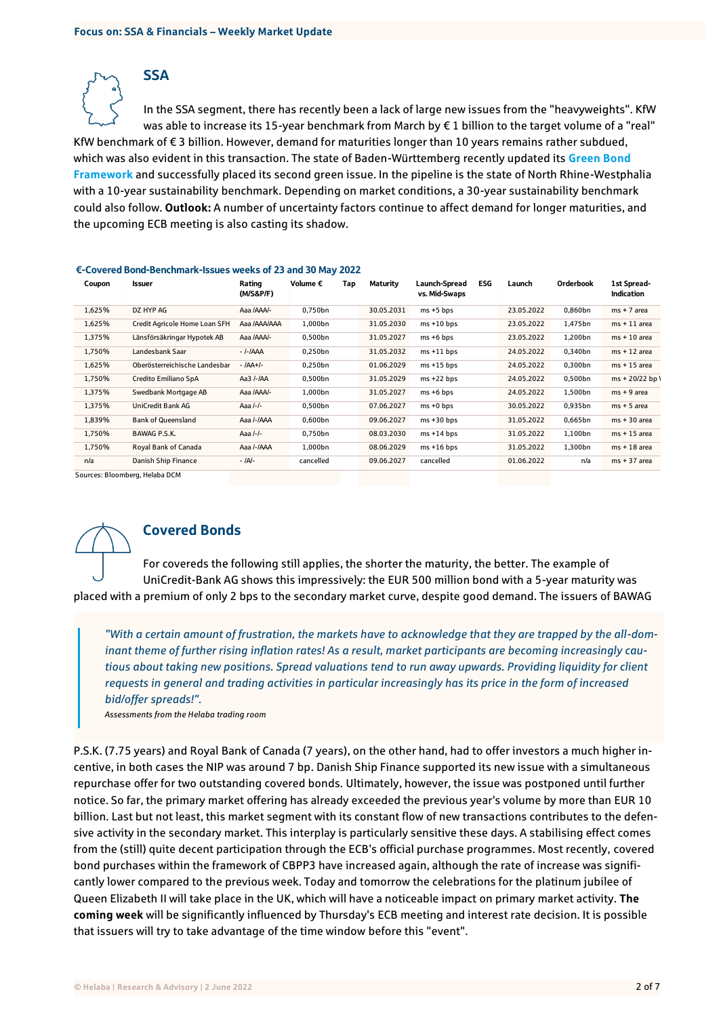**SSA** 

In the SSA segment, there has recently been a lack of large new issues from the "heavyweights". KfW was able to increase its 15-year benchmark from March by € 1 billion to the target volume of a "real" KfW benchmark of € 3 billion. However, demand for maturities longer than 10 years remains rather subdued, which was also evident in this transaction. The state of Baden-Württemberg recently updated its **[Green Bond](https://fm.baden-wuerttemberg.de/fileadmin/redaktion/m-fm/intern/Dateien_Downloads/Haushalt_Finanzen/Green_Bond_BW/Green_Bond_BW_2022_Framework.pdf)  [Framework](https://fm.baden-wuerttemberg.de/fileadmin/redaktion/m-fm/intern/Dateien_Downloads/Haushalt_Finanzen/Green_Bond_BW/Green_Bond_BW_2022_Framework.pdf)** and successfully placed its second green issue. In the pipeline is the state of North Rhine-Westphalia with a 10-year sustainability benchmark. Depending on market conditions, a 30-year sustainability benchmark could also follow. **Outlook:** A number of uncertainty factors continue to affect demand for longer maturities, and the upcoming ECB meeting is also casting its shadow.

| Coupon | Issuer                        | Rating<br>(M/S&P/F) | Volume $\epsilon$ | Tap | Maturity   | <b>Launch-Spread</b><br>vs. Mid-Swaps | ESG | Launch     | Orderbook | 1st Spread-<br><b>Indication</b> |
|--------|-------------------------------|---------------------|-------------------|-----|------------|---------------------------------------|-----|------------|-----------|----------------------------------|
| 1,625% | DZ HYP AG                     | Aaa /AAA/-          | 0.750bn           |     | 30.05.2031 | $ms + 5 bps$                          |     | 23.05.2022 | 0,860bn   | $ms + 7$ area                    |
| 1,625% | Credit Agricole Home Loan SFH | Aaa /AAA/AAA        | 1,000bn           |     | 31.05.2030 | $ms + 10 bps$                         |     | 23.05.2022 | 1.475bn   | $ms + 11$ area                   |
| 1,375% | Länsförsäkringar Hypotek AB   | Aaa /AAA/-          | 0,500bn           |     | 31.05.2027 | $ms + 6 bps$                          |     | 23.05.2022 | 1,200bn   | $ms + 10$ area                   |
| 1,750% | Landesbank Saar               | - <i>I-I</i> AAA    | 0,250bn           |     | 31.05.2032 | $ms + 11 bps$                         |     | 24.05.2022 | 0,340bn   | $ms + 12$ area                   |
| 1,625% | Oberösterreichische Landesbar | - /AA+/-            | 0,250bn           |     | 01.06.2029 | $ms + 15 bps$                         |     | 24.05.2022 | 0,300bn   | $ms + 15$ area                   |
| 1,750% | Credito Emiliano SpA          | Aa3 /-/AA           | 0,500bn           |     | 31.05.2029 | $ms + 22 bps$                         |     | 24.05.2022 | 0,500bn   | $ms + 20/22 bp)$                 |
| 1,375% | Swedbank Mortgage AB          | Aaa /AAA/-          | 1,000bn           |     | 31.05.2027 | $ms + 6 bps$                          |     | 24.05.2022 | 1,500bn   | $ms + 9$ area                    |
| 1,375% | UniCredit Bank AG             | Aaa /-/-            | 0.500bn           |     | 07.06.2027 | $ms + 0 bps$                          |     | 30.05.2022 | 0,935bn   | $ms + 5$ area                    |
| 1,839% | <b>Bank of Queensland</b>     | Aaa /-/AAA          | 0,600bn           |     | 09.06.2027 | $ms + 30 bps$                         |     | 31.05.2022 | 0,665bn   | $ms + 30$ area                   |
| 1,750% | BAWAG P.S.K.                  | Aaa /-/-            | 0,750bn           |     | 08.03.2030 | $ms + 14 bps$                         |     | 31.05.2022 | 1,100bn   | $ms + 15$ area                   |
| 1,750% | Royal Bank of Canada          | Aaa /-/AAA          | 1,000bn           |     | 08.06.2029 | $ms + 16 bps$                         |     | 31.05.2022 | 1,300bn   | $ms + 18$ area                   |
| n/a    | Danish Ship Finance           | - IAI-              | cancelled         |     | 09.06.2027 | cancelled                             |     | 01.06.2022 | n/a       | $ms + 37 area$                   |

#### €-Covered Bond-Benchmark-Issues weeks of 23 and 30 May 2022

Sources: Bloomberg, Helaba DCM



### Covered Bonds

For covereds the following still applies, the shorter the maturity, the better. The example of UniCredit-Bank AG shows this impressively: the EUR 500 million bond with a 5-year maturity was placed with a premium of only 2 bps to the secondary market curve, despite good demand. The issuers of BAWAG

*"With a certain amount of frustration, the markets have to acknowledge that they are trapped by the all-dominant theme of further rising inflation rates! As a result, market participants are becoming increasingly cautious about taking new positions. Spread valuations tend to run away upwards. Providing liquidity for client requests in general and trading activities in particular increasingly has its price in the form of increased bid/offer spreads!".*

*Assessments from the Helaba trading room*

P.S.K. (7.75 years) and Royal Bank of Canada (7 years), on the other hand, had to offer investors a much higher incentive, in both cases the NIP was around 7 bp. Danish Ship Finance supported its new issue with a simultaneous repurchase offer for two outstanding covered bonds. Ultimately, however, the issue was postponed until further notice. So far, the primary market offering has already exceeded the previous year's volume by more than EUR 10 billion. Last but not least, this market segment with its constant flow of new transactions contributes to the defensive activity in the secondary market. This interplay is particularly sensitive these days. A stabilising effect comes from the (still) quite decent participation through the ECB's official purchase programmes. Most recently, covered bond purchases within the framework of CBPP3 have increased again, although the rate of increase was significantly lower compared to the previous week. Today and tomorrow the celebrations for the platinum jubilee of Queen Elizabeth II will take place in the UK, which will have a noticeable impact on primary market activity. **The coming week** will be significantly influenced by Thursday's ECB meeting and interest rate decision. It is possible that issuers will try to take advantage of the time window before this "event".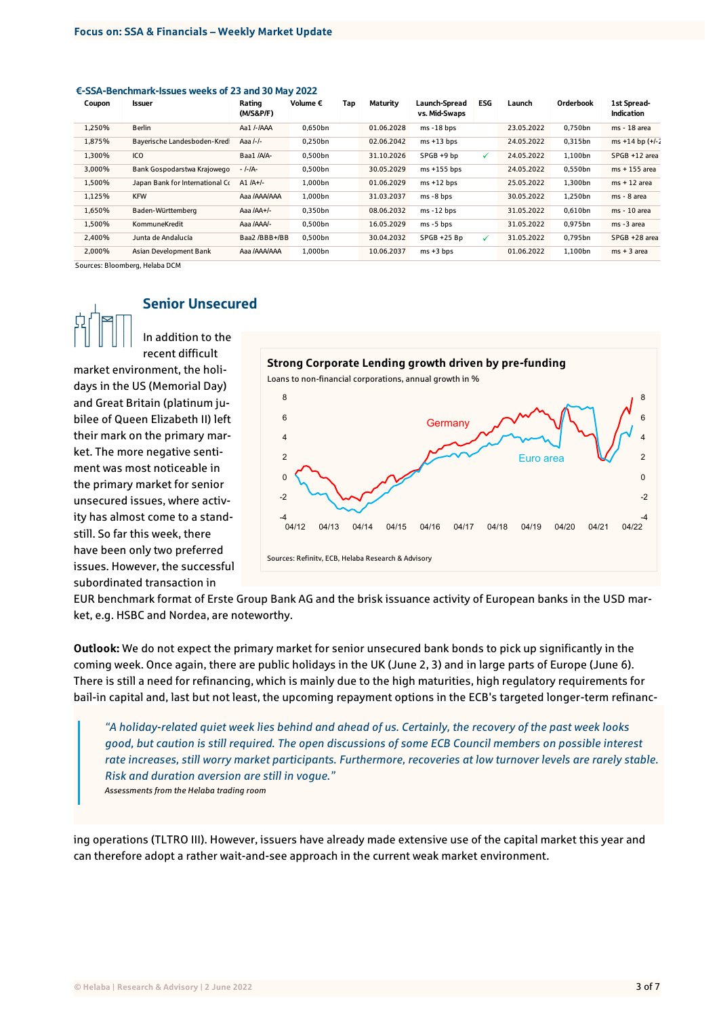#### €-SSA-Benchmark-Issues weeks of 23 and 30 May 2022

| Coupon | <b>Issuer</b>                   | Rating<br>(M/S&P/F) | Volume € | Tap | Maturity   | Launch-Spread<br>vs. Mid-Swaps | <b>ESG</b>   | Launch     | Orderbook | 1st Spread-<br>Indication |
|--------|---------------------------------|---------------------|----------|-----|------------|--------------------------------|--------------|------------|-----------|---------------------------|
| 1,250% | <b>Berlin</b>                   | Aa1 /-/AAA          | 0,650bn  |     | 01.06.2028 | $ms - 18 bps$                  |              | 23.05.2022 | 0,750bn   | ms - 18 area              |
| 1,875% | Bayerische Landesboden-Kred     | Aaa /-/-            | 0.250bn  |     | 02.06.2042 | $ms + 13 bps$                  |              | 24.05.2022 | 0.315bn   | ms +14 bp $(+/-)$         |
| 1.300% | ICO                             | Baa1 /A/A-          | 0.500bn  |     | 31.10.2026 | SPGB +9 bp                     | $\checkmark$ | 24.05.2022 | 1,100bn   | SPGB +12 area             |
| 3,000% | Bank Gospodarstwa Krajowego     | - /-/A-             | 0,500bn  |     | 30.05.2029 | $ms + 155 bps$                 |              | 24.05.2022 | 0,550bn   | ms + 155 area             |
| 1,500% | Japan Bank for International Co | A1 $/A+/-$          | 1.000bn  |     | 01.06.2029 | $ms + 12 bps$                  |              | 25.05.2022 | 1,300bn   | $ms + 12$ area            |
| 1,125% | <b>KFW</b>                      | Aaa /AAA/AAA        | 1.000bn  |     | 31.03.2037 | $ms - 8 bps$                   |              | 30.05.2022 | 1.250bn   | ms - 8 area               |
| 1.650% | Baden-Württemberg               | Aaa /AA+/-          | 0.350bn  |     | 08.06.2032 | $ms - 12 bps$                  |              | 31.05.2022 | 0.610bn   | ms - 10 area              |
| 1,500% | KommuneKredit                   | Aaa /AAA/-          | 0.500bn  |     | 16.05.2029 | $ms - 5 bps$                   |              | 31.05.2022 | 0.975bn   | ms -3 area                |
| 2,400% | Junta de Andalucía              | Baa2 /BBB+/BB       | 0.500bn  |     | 30.04.2032 | SPGB +25 Bp                    | ✓            | 31.05.2022 | 0,795bn   | SPGB +28 area             |
| 2.000% | Asian Development Bank          | Aaa /AAA/AAA        | 1.000bn  |     | 10.06.2037 | $ms + 3 bps$                   |              | 01.06.2022 | 1.100bn   | $ms + 3$ area             |

Sources: Bloomberg, Helaba DCM

# Senior Unsecured In addition to the

recent difficult market environment, the holidays in the US (Memorial Day) and Great Britain (platinum jubilee of Queen Elizabeth II) left their mark on the primary market. The more negative sentiment was most noticeable in the primary market for senior unsecured issues, where activity has almost come to a standstill. So far this week, there have been only two preferred issues. However, the successful subordinated transaction in



EUR benchmark format of Erste Group Bank AG and the brisk issuance activity of European banks in the USD market, e.g. HSBC and Nordea, are noteworthy.

**Outlook:** We do not expect the primary market for senior unsecured bank bonds to pick up significantly in the coming week. Once again, there are public holidays in the UK (June 2, 3) and in large parts of Europe (June 6). There is still a need for refinancing, which is mainly due to the high maturities, high regulatory requirements for bail-in capital and, last but not least, the upcoming repayment options in the ECB's targeted longer-term refinanc-

*"A holiday-related quiet week lies behind and ahead of us. Certainly, the recovery of the past week looks good, but caution is still required. The open discussions of some ECB Council members on possible interest rate increases, still worry market participants. Furthermore, recoveries at low turnover levels are rarely stable. Risk and duration aversion are still in vogue." Assessments from the Helaba trading room*

ing operations (TLTRO III). However, issuers have already made extensive use of the capital market this year and can therefore adopt a rather wait-and-see approach in the current weak market environment.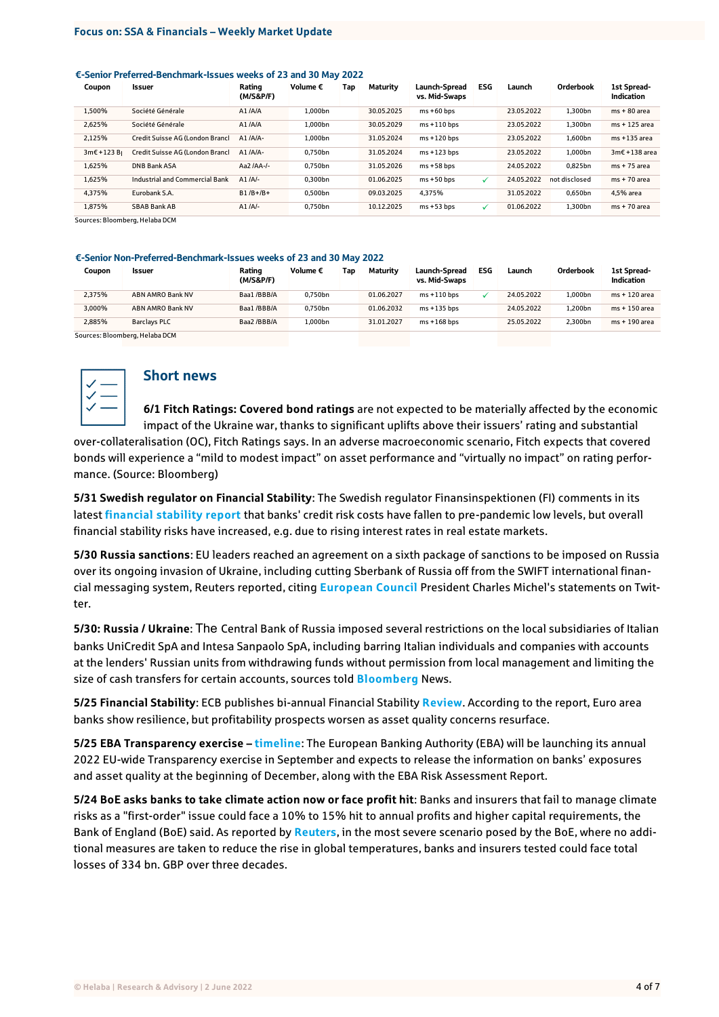#### €-Senior Preferred-Benchmark-Issues weeks of 23 and 30 May 2022

| Coupon              | <b>Issuer</b>                   | Rating<br>(M/S&P/F) | Volume € | Tap | Maturity   | Launch-Spread<br>vs. Mid-Swaps | <b>ESG</b> | Launch     | Orderbook     | 1st Spread-<br>Indication |
|---------------------|---------------------------------|---------------------|----------|-----|------------|--------------------------------|------------|------------|---------------|---------------------------|
| 1.500%              | Société Générale                | A1/AA               | 1.000bn  |     | 30.05.2025 | $ms + 60 bps$                  |            | 23.05.2022 | 1.300bn       | $ms + 80$ area            |
| 2.625%              | Société Générale                | A1/AA               | 1.000bn  |     | 30.05.2029 | $ms + 110 bps$                 |            | 23.05.2022 | 1.300bn       | $ms + 125$ area           |
| 2.125%              | Credit Suisse AG (London Branch | $A1/AA$ -           | 1.000bn  |     | 31.05.2024 | $ms + 120 bps$                 |            | 23.05.2022 | 1,600bn       | ms +135 area              |
| $3m\epsilon + 123B$ | Credit Suisse AG (London Branch | $A1 / A/A -$        | 0.750bn  |     | 31.05.2024 | $ms + 123 bps$                 |            | 23.05.2022 | 1.000bn       | $3m\epsilon + 138$ area   |
| 1.625%              | <b>DNB Bank ASA</b>             | Aa2 /AA-/-          | 0.750bn  |     | 31.05.2026 | $ms + 58 bps$                  |            | 24.05.2022 | 0.825bn       | $ms + 75$ area            |
| 1.625%              | Industrial and Commercial Bank  | $A1/A/-$            | 0.300bn  |     | 01.06.2025 | $ms + 50 bps$                  | ✓          | 24.05.2022 | not disclosed | $ms + 70$ area            |
| 4.375%              | Eurobank S.A.                   | $B1/B+ / B+$        | 0.500bn  |     | 09.03.2025 | 4.375%                         |            | 31.05.2022 | 0.650bn       | 4.5% area                 |
| 1.875%              | SBAB Bank AB                    | $A1/A/-$            | 0.750bn  |     | 10.12.2025 | $ms + 53 bps$                  | ✓          | 01.06.2022 | 1.300bn       | $ms + 70$ area            |

Sources: Bloomberg, Helaba DCM

#### €-Senior Non-Preferred-Benchmark-Issues weeks of 23 and 30 May 2022

| Coupon | Issuer                         | Rating<br>(M/S&P/F) | Volume € | Tan | Maturity   | Launch-Spread<br>vs. Mid-Swaps | <b>ESG</b> | Launch     | Orderbook | 1st Spread-<br><b>Indication</b> |
|--------|--------------------------------|---------------------|----------|-----|------------|--------------------------------|------------|------------|-----------|----------------------------------|
| 2.375% | ABN AMRO Bank NV               | Baa1/BBB/A          | 0.750bn  |     | 01.06.2027 | $ms + 110 bps$                 |            | 24.05.2022 | 1.000bn   | ms + 120 area                    |
| 3.000% | ABN AMRO Bank NV               | Baa1/BBB/A          | 0.750bn  |     | 01.06.2032 | $ms + 135$ bps                 |            | 24.05.2022 | 1.200bn   | ms + 150 area                    |
| 2.885% | <b>Barclavs PLC</b>            | Baa2/BBB/A          | 1.000bn  |     | 31.01.2027 | $ms + 168$ bps                 |            | 25.05.2022 | 2.300bn   | ms + 190 area                    |
|        | Sources: Bloomberg, Helaba DCM |                     |          |     |            |                                |            |            |           |                                  |



# Short news

**6/1 Fitch Ratings: Covered bond ratings** are not expected to be materially affected by the economic impact of the Ukraine war, thanks to significant uplifts above their issuers' rating and substantial

over-collateralisation (OC), Fitch Ratings says. In an adverse macroeconomic scenario, Fitch expects that covered bonds will experience a "mild to modest impact" on asset performance and "virtually no impact" on rating performance. (Source: Bloomberg)

**5/31 Swedish regulator on Financial Stability**: The Swedish regulator Finansinspektionen (FI) comments in its latest **[financial stability report](https://finansinspektionen.se/en/published/reports/stability-report/2022/stability-in-the-financial-system-20221/)** that banks' credit risk costs have fallen to pre-pandemic low levels, but overall financial stability risks have increased, e.g. due to rising interest rates in real estate markets.

**5/30 Russia sanctions**: EU leaders reached an agreement on a sixth package of sanctions to be imposed on Russia over its ongoing invasion of Ukraine, including cutting Sberbank of Russia off from the SWIFT international financial messaging system, Reuters reported, citing **[European Council](https://www.consilium.europa.eu/en/meetings/european-council/2022/05/30-31/)** President Charles Michel's statements on Twitter.

**5/30: Russia / Ukraine**: The Central Bank of Russia imposed several restrictions on the local subsidiaries of Italian banks UniCredit SpA and Intesa Sanpaolo SpA, including barring Italian individuals and companies with accounts at the lenders' Russian units from withdrawing funds without permission from local management and limiting the size of cash transfers for certain accounts, sources told **[Bloomberg](https://www.bloomberg.com/news/articles/2022-05-27/russia-restricts-local-operations-for-italy-s-unicredit-intesa?sref=rO6jgyz4)** News.

**5/25 Financial Stability**: ECB publishes bi-annual Financial Stability **[Review](https://www.ecb.europa.eu/pub/financial-stability/fsr/html/ecb.fsr202205~f207f46ea0.en.html)**. According to the report, Euro area banks show resilience, but profitability prospects worsen as asset quality concerns resurface.

**5/25 EBA Transparency exercise – [timeline](https://www.eba.europa.eu/eba-announces-timeline-2022-eu-wide-transparency-exercise-and-eba-risk-assessment-report)**: The European Banking Authority (EBA) will be launching its annual 2022 EU-wide Transparency exercise in September and expects to release the information on banks' exposures and asset quality at the beginning of December, along with the EBA Risk Assessment Report.

**5/24 BoE asks banks to take climate action now or face profit hit**: Banks and insurers that fail to manage climate risks as a "first-order" issue could face a 10% to 15% hit to annual profits and higher capital requirements, the Bank of England (BoE) said. As reported by **[Reuters](https://www.reuters.com/business/sustainable-business/bank-england-tells-banks-take-climate-action-now-or-face-profit-hit-2022-05-24/?utm_source=European+Banking+Federation+newsletters+and+updates&utm_campaign=70b4a088d2-EMAIL_CAMPAIGN_2018_04_25_COPY_01&utm_medium=email&utm_term=0_088668d33b-70b4a088d2-80222235&mc_cid=70b4a088d2&mc_eid=e43c99b57d)**, in the most severe scenario posed by the BoE, where no additional measures are taken to reduce the rise in global temperatures, banks and insurers tested could face total losses of 334 bn. GBP over three decades.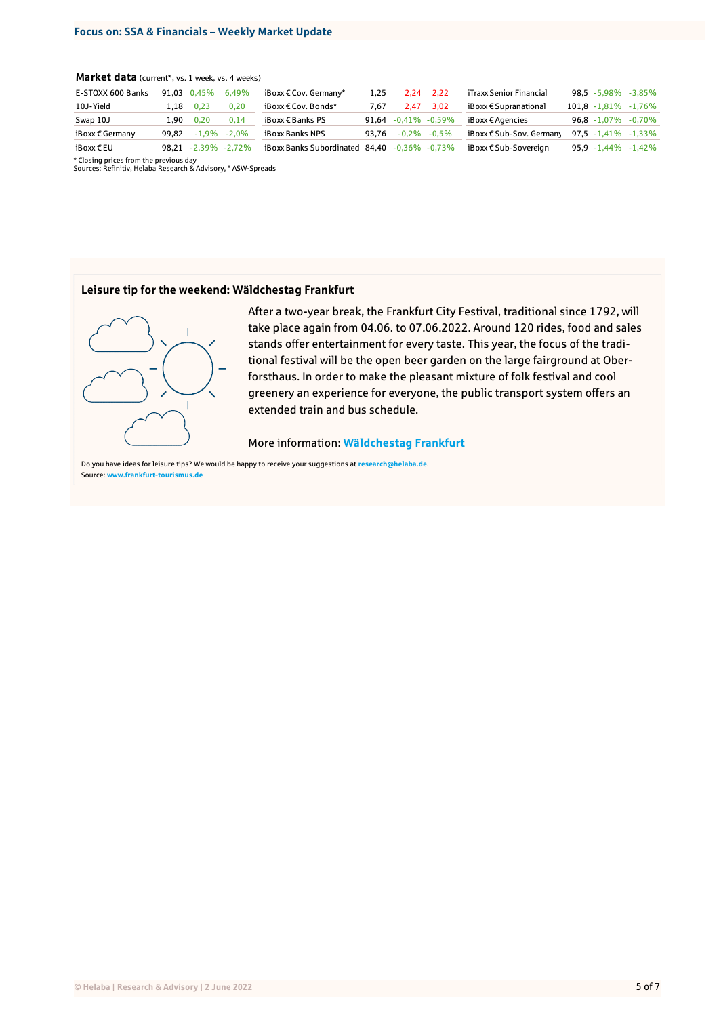### **Market data** (current\*, vs. 1 week, vs. 4 weeks)

| E-STOXX 600 Banks        | 91.03 | 0.45%    | 6.49%         | $i$ Boxx $\epsilon$ Cov. Germany* | 1.25  | 2.24                | - 2.22          | iTraxx Senior Financial           | 98,5 -5,98%     | $-3.85\%$                 |
|--------------------------|-------|----------|---------------|-----------------------------------|-------|---------------------|-----------------|-----------------------------------|-----------------|---------------------------|
| 10J-Yield                | 1.18  | 0.23     | 0.20          | iBoxx € Cov. Bonds*               | 7.67  | 2.47                | 3.02            | $i$ Boxx $\epsilon$ Supranational |                 | $101.8 - 1.81\% - 1.76\%$ |
| Swap 10J                 | 1.90  | 0.20     | 0,14          | $i$ Boxx $\epsilon$ Banks PS      | 91.64 | $-0,41\%$ $-0,59\%$ |                 | iBoxx € Agencies                  | $96.8 - 1.07\%$ | $-0.70\%$                 |
| iBoxx $\epsilon$ Germany | 99.82 | $-1.9\%$ | $-2.0\%$      | iBoxx Banks NPS                   | 93.76 |                     | $-0.2\% -0.5\%$ | iBoxx € Sub-Sov. Germany          |                 | 97,5 -1,41% -1,33%        |
| iBoxx€EU                 | 98.21 |          | -2.39% -2.72% | iBoxx Banks Subordinated 84.40    |       | $-0.36\% -0.73\%$   |                 | iBoxx € Sub-Sovereian             |                 | $95.9 - 1.44\% - 1.42\%$  |

\* Closing prices from the previous day Sources: Refinitiv, Helaba Research & Advisory, \* ASW-Spreads

#### **Leisure tip for the weekend: Wäldchestag Frankfurt**



After a two-year break, the Frankfurt City Festival, traditional since 1792, will take place again from 04.06. to 07.06.2022. Around 120 rides, food and sales stands offer entertainment for every taste. This year, the focus of the traditional festival will be the open beer garden on the large fairground at Oberforsthaus. In order to make the pleasant mixture of folk festival and cool greenery an experience for everyone, the public transport system offers an extended train and bus schedule.

#### More information: **[Wäldchestag Frankfurt](https://www.frankfurt-tourismus.de/en/Discover-Experience/Festivals-Events/Waeldchestag2)**

Do you have ideas for leisure tips? We would be happy to receive your suggestions at **[research@helaba.de](mailto:research@helaba.de)**. Source: **[www.frankfurt-tourismus.de](https://www.frankfurt-tourismus.de/en/Discover-Experience/Festivals-Events/Waeldchestag2)**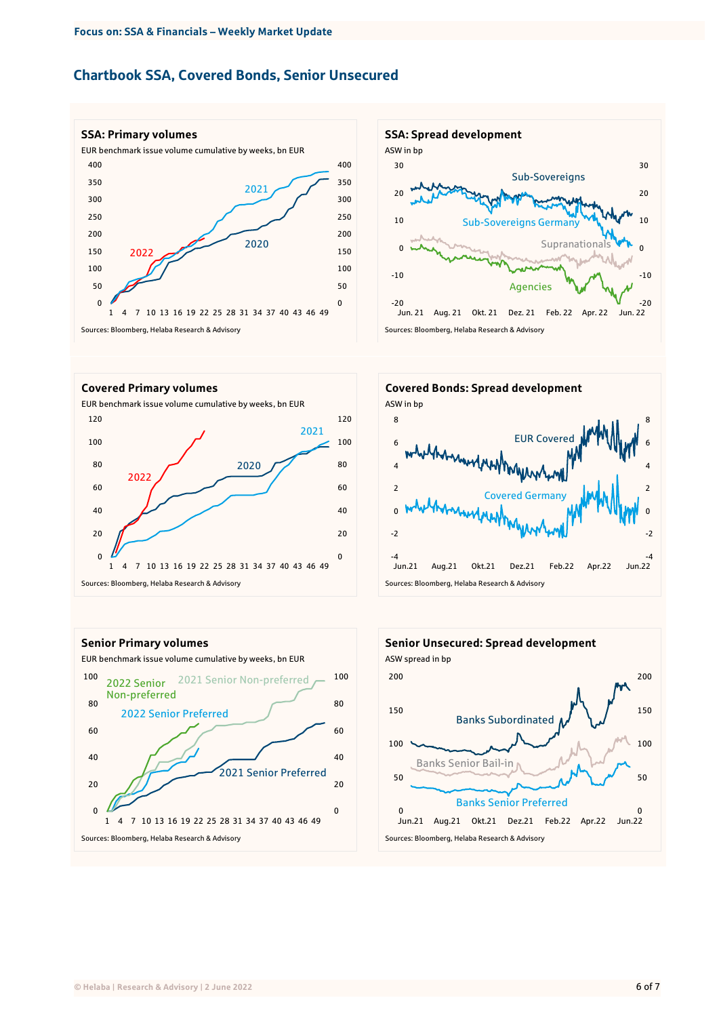# Chartbook SSA, Covered Bonds, Senior Unsecured